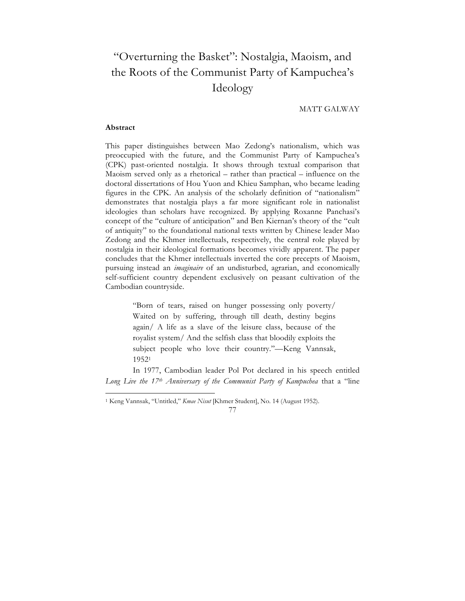# "Overturning the Basket": Nostalgia, Maoism, and the Roots of the Communist Party of Kampuchea's Ideology

MATT GALWAY

### **Abstract**

This paper distinguishes between Mao Zedong's nationalism, which was preoccupied with the future, and the Communist Party of Kampuchea's (CPK) past-oriented nostalgia. It shows through textual comparison that Maoism served only as a rhetorical – rather than practical – influence on the doctoral dissertations of Hou Yuon and Khieu Samphan, who became leading figures in the CPK. An analysis of the scholarly definition of "nationalism" demonstrates that nostalgia plays a far more significant role in nationalist ideologies than scholars have recognized. By applying Roxanne Panchasi's concept of the "culture of anticipation" and Ben Kiernan's theory of the "cult of antiquity" to the foundational national texts written by Chinese leader Mao Zedong and the Khmer intellectuals, respectively, the central role played by nostalgia in their ideological formations becomes vividly apparent. The paper concludes that the Khmer intellectuals inverted the core precepts of Maoism, pursuing instead an *imaginaire* of an undisturbed, agrarian, and economically self-sufficient country dependent exclusively on peasant cultivation of the Cambodian countryside.

> "Born of tears, raised on hunger possessing only poverty/ Waited on by suffering, through till death, destiny begins again/ A life as a slave of the leisure class, because of the royalist system/ And the selfish class that bloodily exploits the subject people who love their country."—Keng Vannsak, 19521

In 1977, Cambodian leader Pol Pot declared in his speech entitled *Long Live the 17th Anniversary of the Communist Party of Kampuchea* that a "line

77

 <sup>1</sup> Keng Vannsak, "Untitled," *Kmae Nisut* [Khmer Student], No. 14 (August 1952).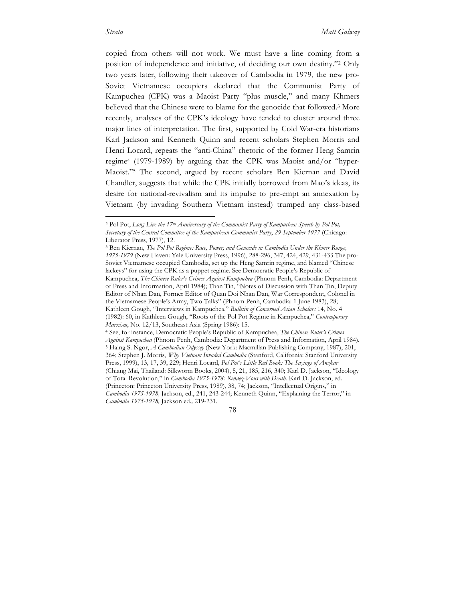copied from others will not work. We must have a line coming from a position of independence and initiative, of deciding our own destiny."2 Only two years later, following their takeover of Cambodia in 1979, the new pro-Soviet Vietnamese occupiers declared that the Communist Party of Kampuchea (CPK) was a Maoist Party "plus muscle," and many Khmers believed that the Chinese were to blame for the genocide that followed.3 More recently, analyses of the CPK's ideology have tended to cluster around three major lines of interpretation. The first, supported by Cold War-era historians Karl Jackson and Kenneth Quinn and recent scholars Stephen Morris and Henri Locard, repeats the "anti-China" rhetoric of the former Heng Samrin regime4 (1979-1989) by arguing that the CPK was Maoist and/or "hyper-Maoist."5 The second, argued by recent scholars Ben Kiernan and David Chandler, suggests that while the CPK initially borrowed from Mao's ideas, its desire for national-revivalism and its impulse to pre-empt an annexation by Vietnam (by invading Southern Vietnam instead) trumped any class-based

 <sup>2</sup> Pol Pot, *Long Live the 17th Anniversary of the Communist Party of Kampuchea: Speech by Pol Pot, Secretary of the Central Committee of the Kampuchean Communist Party*, *29 September 1977* (Chicago: Liberator Press, 1977), 12.

<sup>3</sup> Ben Kiernan, *The Pol Pot Regime: Race, Power, and Genocide in Cambodia Under the Khmer Rouge, 1975-1979* (New Haven: Yale University Press, 1996), 288-296, 347, 424, 429, 431-433.The pro-Soviet Vietnamese occupied Cambodia, set up the Heng Samrin regime, and blamed "Chinese lackeys" for using the CPK as a puppet regime. See Democratic People's Republic of Kampuchea, *The Chinese Ruler's Crimes Against Kampuchea* (Phnom Penh, Cambodia: Department of Press and Information, April 1984); Than Tin, "Notes of Discussion with Than Tin, Deputy Editor of Nhan Dan, Former Editor of Quan Doi Nhan Dan, War Correspondent, Colonel in the Vietnamese People's Army, Two Talks" (Phnom Penh, Cambodia: 1 June 1983), 28; Kathleen Gough, "Interviews in Kampuchea," *Bulletin of Concerned Asian Scholars* 14, No. 4 (1982): 60, in Kathleen Gough, "Roots of the Pol Pot Regime in Kampuchea," *Contemporary Marxism*, No. 12/13, Southeast Asia (Spring 1986): 15. 4 See, for instance, Democratic People's Republic of Kampuchea, *The Chinese Ruler's Crimes* 

*Against Kampuchea* (Phnom Penh, Cambodia: Department of Press and Information, April 1984). <sup>5</sup> Haing S. Ngor, *A Cambodian Odyssey* (New York: Macmillan Publishing Company, 1987), 201, 364; Stephen J. Morris, *Why Vietnam Invaded Cambodia* (Stanford, California: Stanford University Press, 1999), 13, 17, 39, 229; Henri Locard, *Pol Pot's Little Red Book: The Sayings of Angkar* (Chiang Mai, Thailand: Silkworm Books, 2004), 5, 21, 185, 216, 340; Karl D. Jackson, "Ideology of Total Revolution," in *Cambodia 1975-1978: Rendez-Vous with Death.* Karl D. Jackson, ed. (Princeton: Princeton University Press, 1989), 38, 74; Jackson, "Intellectual Origins," in *Cambodia 1975-1978,* Jackson, ed., 241, 243-244; Kenneth Quinn, "Explaining the Terror," in *Cambodia 1975-1978,* Jackson ed*.,* 219-231.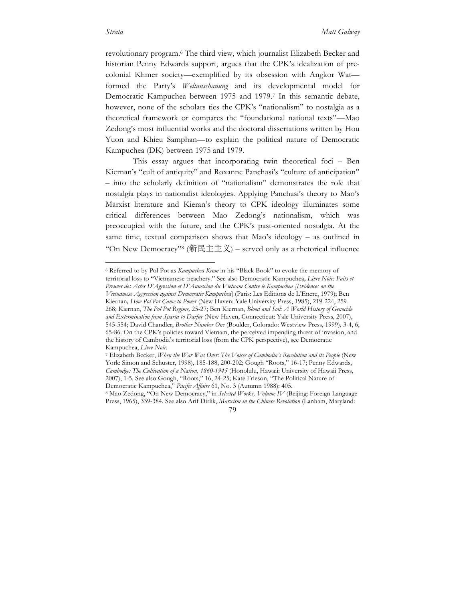revolutionary program.6 The third view, which journalist Elizabeth Becker and historian Penny Edwards support, argues that the CPK's idealization of precolonial Khmer society—exemplified by its obsession with Angkor Wat formed the Party's *Weltanschauung* and its developmental model for Democratic Kampuchea between 1975 and 1979.7 In this semantic debate, however, none of the scholars ties the CPK's "nationalism" to nostalgia as a theoretical framework or compares the "foundational national texts"—Mao Zedong's most influential works and the doctoral dissertations written by Hou Yuon and Khieu Samphan—to explain the political nature of Democratic Kampuchea (DK) between 1975 and 1979.

This essay argues that incorporating twin theoretical foci – Ben Kiernan's "cult of antiquity" and Roxanne Panchasi's "culture of anticipation" – into the scholarly definition of "nationalism" demonstrates the role that nostalgia plays in nationalist ideologies. Applying Panchasi's theory to Mao's Marxist literature and Kieran's theory to CPK ideology illuminates some critical differences between Mao Zedong's nationalism, which was preoccupied with the future, and the CPK's past-oriented nostalgia. At the same time, textual comparison shows that Mao's ideology – as outlined in "On New Democracy"<sup>8</sup> (新民主主义) – served only as a rhetorical influence

 <sup>6</sup> Referred to by Pol Pot as *Kampuchea Krom* in his "Black Book" to evoke the memory of territorial loss to "Vietnamese treachery." See also Democratic Kampuchea, *Livre Noir: Faits et Preuves des Actes D'Agression et D'Annexion du Vietnam Contre le Kampuchea [Evidences on the Vietnamese Aggression against Democratic Kampuchea*] (Paris: Les Editions de L'Encre, 1979); Ben Kiernan*, How Pol Pot Came to Power* (New Haven: Yale University Press, 1985), 219-224, 259- 268; Kiernan, *The Pol Pot Regime,* 25-27; Ben Kiernan, *Blood and Soil: A World History of Genocide and Extermination from Sparta to Darfur* (New Haven, Connecticut: Yale University Press, 2007), 545-554; David Chandler, *Brother Number One* (Boulder, Colorado: Westview Press, 1999)*,* 3-4, 6, 65-86. On the CPK's policies toward Vietnam, the perceived impending threat of invasion, and the history of Cambodia's territorial loss (from the CPK perspective), see Democratic Kampuchea, *Livre Noir.*

<sup>7</sup> Elizabeth Becker, *When the War Was Over: The Voices of Cambodia's Revolution and its People* (New York: Simon and Schuster, 1998), 185-188, 200-202; Gough "Roots," 16-17; Penny Edwards, *Cambodge: The Cultivation of a Nation, 1860-1945* (Honolulu, Hawaii: University of Hawaii Press, 2007), 1-5. See also Gough, "Roots," 16, 24-25; Kate Frieson, "The Political Nature of Democratic Kampuchea," *Pacific Affairs* 61, No. 3 (Autumn 1988): 405.

<sup>8</sup> Mao Zedong, "On New Democracy," in *Selected Works, Volume IV* (Beijing: Foreign Language Press, 1965), 339-384. See also Arif Dirlik, *Marxism in the Chinese Revolution* (Lanham, Maryland:

<sup>79</sup>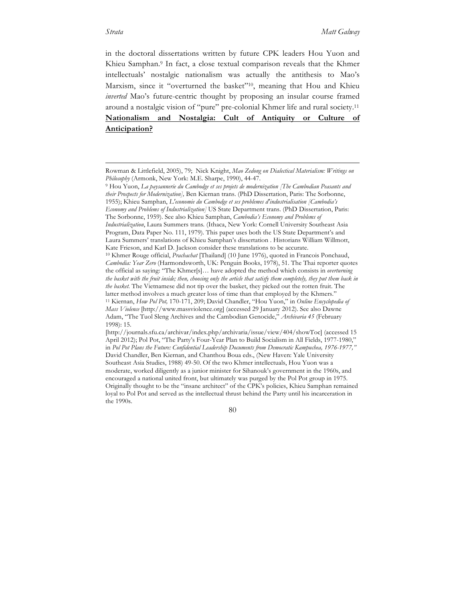in the doctoral dissertations written by future CPK leaders Hou Yuon and Khieu Samphan.<sup>9</sup> In fact, a close textual comparison reveals that the Khmer intellectuals' nostalgic nationalism was actually the antithesis to Mao's Marxism, since it "overturned the basket"<sup>10</sup>, meaning that Hou and Khieu *inverted* Mao's future-centric thought by proposing an insular course framed around a nostalgic vision of "pure" pre-colonial Khmer life and rural society.11 **Nationalism and Nostalgia: Cult of Antiquity or Culture of Anticipation?**

Rowman & Littlefield, 2005), 79; Nick Knight, *Mao Zedong on Dialectical Materialism: Writings on Philosophy* (Armonk, New York: M.E. Sharpe, 1990), 44-47.

<sup>9</sup> Hou Yuon, *La paysannerie du Cambodge et ses projets de modernization [The Cambodian Peasants and their Prospects for Modernization],* Ben Kiernan trans. (PhD Dissertation, Paris: The Sorbonne, 1955); Khieu Samphan, *L'economie du Cambodge et ses problemes d'industrialisation [Cambodia's Economy and Problems of Industrialization]* US State Department trans. (PhD Dissertation, Paris: The Sorbonne, 1959). See also Khieu Samphan, *Cambodia's Economy and Problems of Industrialization*, Laura Summers trans*.* (Ithaca, New York: Cornell University Southeast Asia Program, Data Paper No. 111, 1979). This paper uses both the US State Department's and Laura Summers' translations of Khieu Samphan's dissertation . Historians William Willmott, Kate Frieson, and Karl D. Jackson consider these translations to be accurate. <sup>10</sup> Khmer Rouge official, *Prachachat* [Thailand] (10 June 1976), quoted in Francois Ponchaud, *Cambodia: Year Zero* (Harmondsworth, UK: Penguin Books, 1978), 51. The Thai reporter quotes the official as saying: "The Khmer[s]… have adopted the method which consists in *overturning the basket with the fruit inside; then, choosing only the article that satisfy them completely, they put them back in the basket.* The Vietnamese did not tip over the basket, they picked out the rotten fruit. The latter method involves a much greater loss of time than that employed by the Khmers." <sup>11</sup> Kiernan, *How Pol Pot,* 170-171, 209; David Chandler, "Hou Yuon," in *Online Encyclopedia of Mass Violence* [http://www.massviolence.org] (accessed 29 January 2012). See also Dawne Adam, "The Tuol Sleng Archives and the Cambodian Genocide," *Archivaria 45* (February 1998): 15.

<sup>[</sup>http://journals.sfu.ca/archivar/index.php/archivaria/issue/view/404/showToc] (accessed 15 April 2012); Pol Pot, "The Party's Four-Year Plan to Build Socialism in All Fields, 1977-1980," in *Pol Pot Plans the Future: Confidential Leadership Documents from Democratic Kampuchea, 1976-1977,"*  David Chandler, Ben Kiernan, and Chanthou Boua eds., (New Haven: Yale University Southeast Asia Studies, 1988) 49-50. Of the two Khmer intellectuals, Hou Yuon was a moderate, worked diligently as a junior minister for Sihanouk's government in the 1960s, and encouraged a national united front, but ultimately was purged by the Pol Pot group in 1975. Originally thought to be the "insane architect" of the CPK's policies, Khieu Samphan remained loyal to Pol Pot and served as the intellectual thrust behind the Party until his incarceration in the 1990s.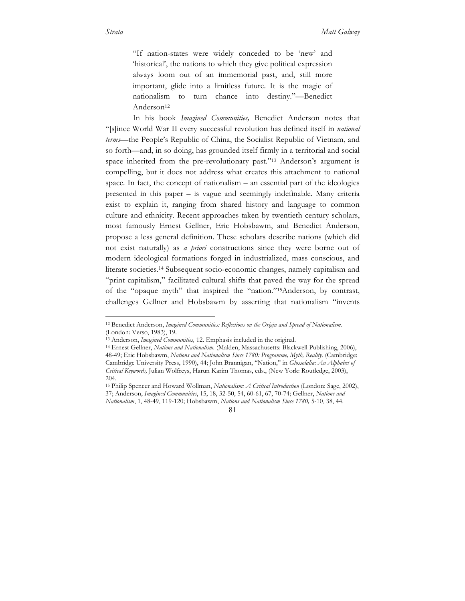"If nation-states were widely conceded to be 'new' and 'historical', the nations to which they give political expression always loom out of an immemorial past, and, still more important, glide into a limitless future. It is the magic of nationalism to turn chance into destiny."—Benedict Anderson<sup>12</sup>

In his book *Imagined Communities,* Benedict Anderson notes that "[s]ince World War II every successful revolution has defined itself in *national terms*—the People's Republic of China, the Socialist Republic of Vietnam, and so forth—and, in so doing, has grounded itself firmly in a territorial and social space inherited from the pre-revolutionary past."13 Anderson's argument is compelling, but it does not address what creates this attachment to national space. In fact, the concept of nationalism – an essential part of the ideologies presented in this paper – is vague and seemingly indefinable. Many criteria exist to explain it, ranging from shared history and language to common culture and ethnicity. Recent approaches taken by twentieth century scholars, most famously Ernest Gellner, Eric Hobsbawm, and Benedict Anderson, propose a less general definition. These scholars describe nations (which did not exist naturally) as *a priori* constructions since they were borne out of modern ideological formations forged in industrialized, mass conscious, and literate societies.14 Subsequent socio-economic changes, namely capitalism and "print capitalism," facilitated cultural shifts that paved the way for the spread of the "opaque myth" that inspired the "nation*.*"15Anderson, by contrast, challenges Gellner and Hobsbawm by asserting that nationalism "invents

81

 <sup>12</sup> Benedict Anderson, *Imagined Communities: Reflections on the Origin and Spread of Nationalism.*  (London: Verso, 1983), 19.

<sup>13</sup> Anderson, *Imagined Communities,* 12. Emphasis included in the original. 14 Ernest Gellner, *Nations and Nationalism.* (Malden, Massachusetts: Blackwell Publishing, 2006), 48-49; Eric Hobsbawm, *Nations and Nationalism Since 1780: Programme, Myth, Reality.* (Cambridge: Cambridge University Press, 1990), 44; John Brannigan, "Nation," in *Glossolalia: An Alphabet of Critical Keywords,* Julian Wolfreys, Harun Karim Thomas, eds., (New York: Routledge, 2003), 204.

<sup>15</sup> Philip Spencer and Howard Wollman, *Nationalism: A Critical Introduction* (London: Sage, 2002), 37; Anderson, *Imagined Communities*, 15, 18, 32-50, 54, 60-61, 67, 70-74; Gellner, *Nations and Nationalism*, 1, 48-49, 119-120; Hobsbawm, *Nations and Nationalism Since 1780,* 5-10, 38, 44.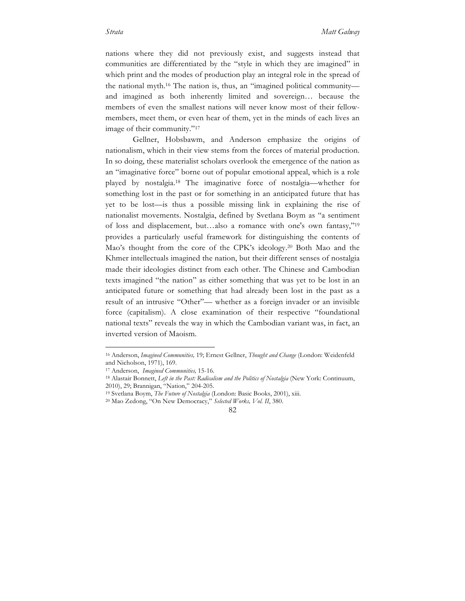nations where they did not previously exist, and suggests instead that communities are differentiated by the "style in which they are imagined" in which print and the modes of production play an integral role in the spread of the national myth.16 The nation is, thus, an "imagined political community and imagined as both inherently limited and sovereign… because the members of even the smallest nations will never know most of their fellowmembers, meet them, or even hear of them, yet in the minds of each lives an image of their community."17

Gellner, Hobsbawm, and Anderson emphasize the origins of nationalism, which in their view stems from the forces of material production. In so doing, these materialist scholars overlook the emergence of the nation as an "imaginative force" borne out of popular emotional appeal, which is a role played by nostalgia.18 The imaginative force of nostalgia—whether for something lost in the past or for something in an anticipated future that has yet to be lost—is thus a possible missing link in explaining the rise of nationalist movements. Nostalgia, defined by Svetlana Boym as "a sentiment of loss and displacement, but…also a romance with one's own fantasy,"19 provides a particularly useful framework for distinguishing the contents of Mao's thought from the core of the CPK's ideology.20 Both Mao and the Khmer intellectuals imagined the nation, but their different senses of nostalgia made their ideologies distinct from each other. The Chinese and Cambodian texts imagined "the nation" as either something that was yet to be lost in an anticipated future or something that had already been lost in the past as a result of an intrusive "Other"— whether as a foreign invader or an invisible force (capitalism). A close examination of their respective "foundational national texts" reveals the way in which the Cambodian variant was, in fact, an inverted version of Maoism.

 <sup>16</sup> Anderson, *Imagined Communities,* 19; Ernest Gellner, *Thought and Change* (London: Weidenfeld and Nicholson, 1971), 169.

<sup>17</sup> Anderson, *Imagined Communities,* 15-16*.*

<sup>&</sup>lt;sup>18</sup> Alastair Bonnett, *Left in the Past: Radicalism and the Politics of Nostalgia* (New York: Continuum, 2010), 29; Brannigan, "Nation," 204-205.

<sup>19</sup> Svetlana Boym, *The Future of Nostalgia* (London: Basic Books, 2001), xiii.

<sup>20</sup> Mao Zedong, "On New Democracy," *Selected Works, Vol. II*, 380.

<sup>82</sup>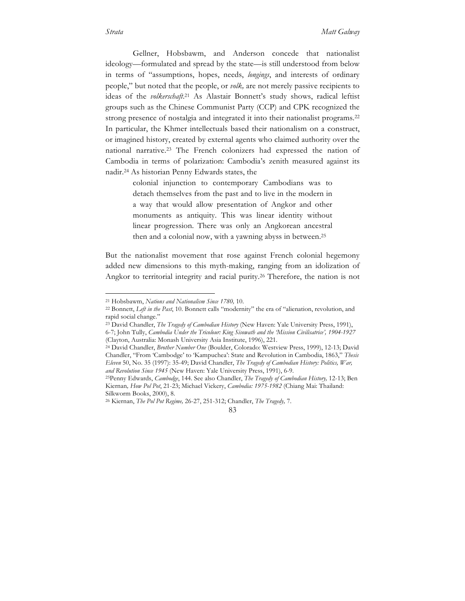Gellner, Hobsbawm, and Anderson concede that nationalist ideology—formulated and spread by the state—is still understood from below in terms of "assumptions, hopes, needs, *longings*, and interests of ordinary people," but noted that the people, or *volk,* are not merely passive recipients to ideas of the *volkerschaft*. <sup>21</sup> As Alastair Bonnett's study shows, radical leftist groups such as the Chinese Communist Party (CCP) and CPK recognized the strong presence of nostalgia and integrated it into their nationalist programs.22 In particular, the Khmer intellectuals based their nationalism on a construct, or imagined history, created by external agents who claimed authority over the national narrative.23 The French colonizers had expressed the nation of Cambodia in terms of polarization: Cambodia's zenith measured against its nadir.24 As historian Penny Edwards states, the

> colonial injunction to contemporary Cambodians was to detach themselves from the past and to live in the modern in a way that would allow presentation of Angkor and other monuments as antiquity. This was linear identity without linear progression. There was only an Angkorean ancestral then and a colonial now, with a yawning abyss in between.25

But the nationalist movement that rose against French colonial hegemony added new dimensions to this myth-making, ranging from an idolization of Angkor to territorial integrity and racial purity.26 Therefore, the nation is not

 <sup>21</sup> Hobsbawm, *Nations and Nationalism Since 1780,* 10.

<sup>22</sup> Bonnett, *Left in the Past*, 10. Bonnett calls "modernity" the era of "alienation, revolution, and rapid social change."

<sup>23</sup> David Chandler, *The Tragedy of Cambodian History* (New Haven: Yale University Press, 1991), 6-7; John Tully, *Cambodia Under the Tricolour: King Sisowath and the 'Mission Civilisatrice', 1904-1927* (Clayton, Australia: Monash University Asia Institute, 1996), 221.

<sup>24</sup> David Chandler, *Brother Number One* (Boulder, Colorado: Westview Press, 1999), 12-13; David Chandler, "From 'Cambodge' to 'Kampuchea': State and Revolution in Cambodia, 1863," *Thesis Eleven* 50, No. 35 (1997): 35-49; David Chandler, *The Tragedy of Cambodian History: Politics, War, and Revolution Since 1945* (New Haven: Yale University Press, 1991), 6-9.

<sup>25</sup>Penny Edwards, *Cambodge*, 144. See also Chandler, *The Tragedy of Cambodian History,* 12-13; Ben Kiernan*, How Pol Pot*, 21-23; Michael Vickery, *Cambodia: 1975-1982* (Chiang Mai: Thailand: Silkworm Books, 2000), 8.

<sup>26</sup> Kiernan, *The Pol Pot Regime,* 26-27, 251-312; Chandler, *The Tragedy,* 7.

<sup>83</sup>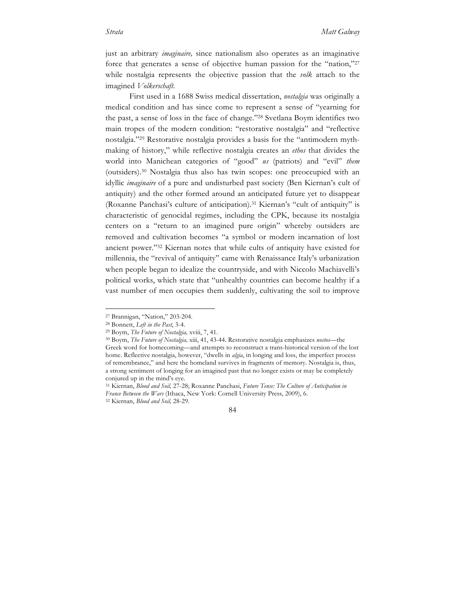just an arbitrary *imaginaire,* since nationalism also operates as an imaginative force that generates a sense of objective human passion for the "nation,"27 while nostalgia represents the objective passion that the *volk* attach to the imagined *Volkerschaft.*

First used in a 1688 Swiss medical dissertation, *nostalgia* was originally a medical condition and has since come to represent a sense of "yearning for the past, a sense of loss in the face of change."28 Svetlana Boym identifies two main tropes of the modern condition: "restorative nostalgia" and "reflective nostalgia."29 Restorative nostalgia provides a basis for the "antimodern mythmaking of history," while reflective nostalgia creates an *ethos* that divides the world into Manichean categories of "good" *us* (patriots) and "evil" *them* (outsiders).30 Nostalgia thus also has twin scopes: one preoccupied with an idyllic *imaginaire* of a pure and undisturbed past society (Ben Kiernan's cult of antiquity) and the other formed around an anticipated future yet to disappear (Roxanne Panchasi's culture of anticipation).31 Kiernan's "cult of antiquity" is characteristic of genocidal regimes, including the CPK, because its nostalgia centers on a "return to an imagined pure origin" whereby outsiders are removed and cultivation becomes "a symbol or modern incarnation of lost ancient power."32 Kiernan notes that while cults of antiquity have existed for millennia, the "revival of antiquity" came with Renaissance Italy's urbanization when people began to idealize the countryside, and with Niccolo Machiavelli's political works, which state that "unhealthy countries can become healthy if a vast number of men occupies them suddenly, cultivating the soil to improve

 <sup>27</sup> Brannigan, "Nation," 203-204.

<sup>28</sup> Bonnett, *Left in the Past*, 3-4.

<sup>29</sup> Boym, *The Future of Nostalgia,* xviii, 7, 41.

<sup>30</sup> Boym, *The Future of Nostalgia,* xiii, 41, 43-44. Restorative nostalgia emphasizes *nostos*—the Greek word for homecoming—and attempts to reconstruct a trans-historical version of the lost home. Reflective nostalgia, however, "dwells in *algia*, in longing and loss, the imperfect process of remembrance," and here the homeland survives in fragments of memory. Nostalgia is, thus, a strong sentiment of longing for an imagined past that no longer exists or may be completely conjured up in the mind's eye.

<sup>31</sup> Kiernan, *Blood and Soil,* 27-28; Roxanne Panchasi, *Future Tense: The Culture of Anticipation in France Between the Wars* (Ithaca, New York: Cornell University Press, 2009), 6. <sup>32</sup> Kiernan, *Blood and Soil,* 28-29.

<sup>84</sup>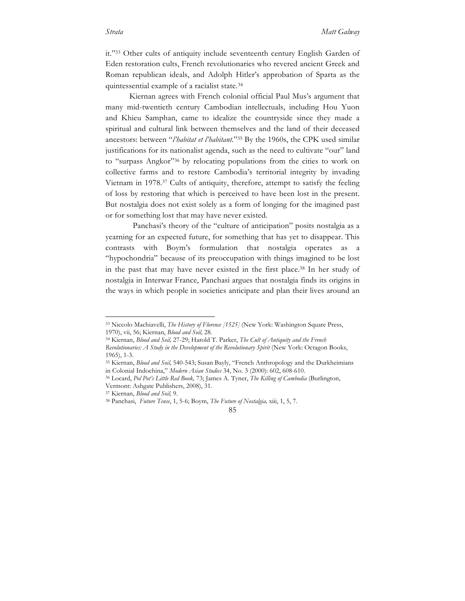it."33 Other cults of antiquity include seventeenth century English Garden of Eden restoration cults, French revolutionaries who revered ancient Greek and Roman republican ideals, and Adolph Hitler's approbation of Sparta as the quintessential example of a racialist state.34

Kiernan agrees with French colonial official Paul Mus's argument that many mid-twentieth century Cambodian intellectuals, including Hou Yuon and Khieu Samphan, came to idealize the countryside since they made a spiritual and cultural link between themselves and the land of their deceased ancestors: between "*l'habitat et l'habitant.*"35 By the 1960s, the CPK used similar justifications for its nationalist agenda, such as the need to cultivate "our" land to "surpass Angkor"36 by relocating populations from the cities to work on collective farms and to restore Cambodia's territorial integrity by invading Vietnam in 1978.37 Cults of antiquity, therefore, attempt to satisfy the feeling of loss by restoring that which is perceived to have been lost in the present. But nostalgia does not exist solely as a form of longing for the imagined past or for something lost that may have never existed.

Panchasi's theory of the "culture of anticipation" posits nostalgia as a yearning for an expected future, for something that has yet to disappear. This contrasts with Boym's formulation that nostalgia operates as a "hypochondria" because of its preoccupation with things imagined to be lost in the past that may have never existed in the first place.38 In her study of nostalgia in Interwar France, Panchasi argues that nostalgia finds its origins in the ways in which people in societies anticipate and plan their lives around an

 <sup>33</sup> Niccolo Machiavelli, *The History of Florence [1525]* (New York: Washington Square Press, 1970), vii, 56; Kiernan, *Blood and Soil,* 28.

<sup>34</sup> Kiernan, *Blood and Soil,* 27-29; Harold T. Parker, *The Cult of Antiquity and the French* 

*Revolutionaries: A Study in the Development of the Revolutionary Spirit* (New York: Octagon Books,

<sup>1965), 1-3.&</sup>lt;br><sup>35</sup> Kiernan, *Blood and Soil*, 540-543; Susan Bayly, "French Anthropology and the Durkheimians<br>in Colonial Indochina," *Modern Asian Studies* 34, No. 3 (2000): 602, 608-610.

in Colonial Indochina," *Modern Asian Studies* 34, No. 3 (2000): 602, 608-610. 36 Locard, *Pol Pot's Little Red Book,* 73; James A. Tyner, *The Killing of Cambodia* (Burlington,

Vermont: Ashgate Publishers, 2008), 31.

<sup>37</sup> Kiernan, *Blood and Soil,* 9.

<sup>38</sup> Panchasi, *Future Tense*, 1, 5-6; Boym, *The Future of Nostalgia,* xiii, 1, 5, 7.

<sup>85</sup>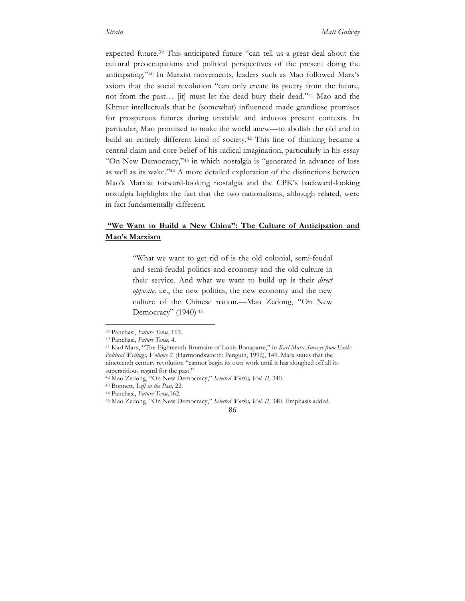expected future.39 This anticipated future "can tell us a great deal about the cultural preoccupations and political perspectives of the present doing the anticipating."40 In Marxist movements, leaders such as Mao followed Marx's axiom that the social revolution "can only create its poetry from the future, not from the past… [it] must let the dead bury their dead."41 Mao and the Khmer intellectuals that he (somewhat) influenced made grandiose promises for prosperous futures during unstable and arduous present contexts. In particular, Mao promised to make the world anew—to abolish the old and to build an entirely different kind of society.42 This line of thinking became a central claim and core belief of his radical imagination, particularly in his essay "On New Democracy,"43 in which nostalgia is "generated in advance of loss as well as its wake."44 A more detailed exploration of the distinctions between Mao's Marxist forward-looking nostalgia and the CPK's backward-looking nostalgia highlights the fact that the two nationalisms, although related, were in fact fundamentally different.

# **"We Want to Build a New China": The Culture of Anticipation and Mao's Marxism**

"What we want to get rid of is the old colonial, semi-feudal and semi-feudal politics and economy and the old culture in their service. And what we want to build up is their *direct opposite,* i.e., the new politics, the new economy and the new culture of the Chinese nation.—Mao Zedong, "On New Democracy" (1940) <sup>45</sup>

 <sup>39</sup> Panchasi, *Future Tense*, 162.

<sup>40</sup> Panchasi, *Future Tense*, 4.

<sup>41</sup> Karl Marx, "The Eighteenth Brumaire of Louis Bonaparte," in *Karl Marx Surveys from Exile: Political Writings, Volume 2.* (Harmondsworth: Penguin, 1992), 149. Marx states that the nineteenth century revolution "cannot begin its own work until it has sloughed off all its superstitious regard for the past."

<sup>42</sup> Mao Zedong, "On New Democracy," *Selected Works, Vol. II*, 340.

<sup>43</sup> Bonnett, *Left in the Past,* 22.

<sup>44</sup> Panchasi, *Future Tense,*162.

<sup>45</sup> Mao Zedong, "On New Democracy," *Selected Works, Vol. II*, 340. Emphasis added.

<sup>86</sup>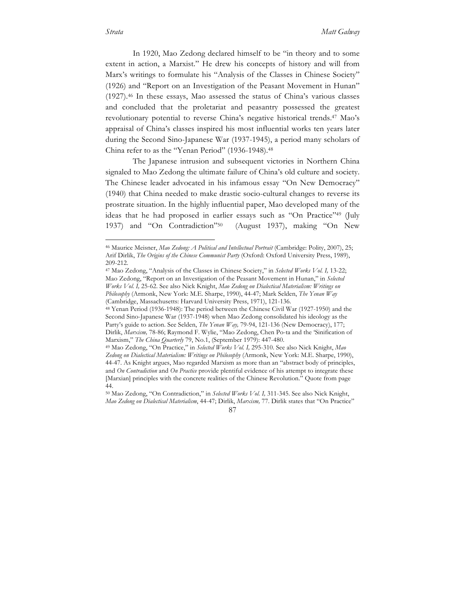In 1920, Mao Zedong declared himself to be "in theory and to some extent in action, a Marxist." He drew his concepts of history and will from Marx's writings to formulate his "Analysis of the Classes in Chinese Society" (1926) and "Report on an Investigation of the Peasant Movement in Hunan" (1927).46 In these essays, Mao assessed the status of China's various classes and concluded that the proletariat and peasantry possessed the greatest revolutionary potential to reverse China's negative historical trends.47 Mao's appraisal of China's classes inspired his most influential works ten years later during the Second Sino-Japanese War (1937-1945), a period many scholars of China refer to as the "Yenan Period" (1936-1948).48

The Japanese intrusion and subsequent victories in Northern China signaled to Mao Zedong the ultimate failure of China's old culture and society. The Chinese leader advocated in his infamous essay "On New Democracy" (1940) that China needed to make drastic socio-cultural changes to reverse its prostrate situation. In the highly influential paper, Mao developed many of the ideas that he had proposed in earlier essays such as "On Practice"49 (July 1937) and "On Contradiction"50 (August 1937), making "On New

 <sup>46</sup> Maurice Meisner, *Mao Zedong: A Political and Intellectual Portrait* (Cambridge: Polity, 2007), 25; Arif Dirlik, *The Origins of the Chinese Communist Party* (Oxford: Oxford University Press, 1989), 209-212.

<sup>47</sup> Mao Zedong, "Analysis of the Classes in Chinese Society," in *Selected Works Vol. I,* 13-22; Mao Zedong, "Report on an Investigation of the Peasant Movement in Hunan," in *Selected Works Vol. I,* 25-62. See also Nick Knight, *Mao Zedong on Dialectical Materialism: Writings on Philosophy* (Armonk, New York: M.E. Sharpe, 1990), 44-47; Mark Selden, *The Yenan Way*  (Cambridge, Massachusetts: Harvard University Press, 1971), 121-136.

<sup>48</sup> Yenan Period (1936-1948): The period between the Chinese Civil War (1927-1950) and the Second Sino-Japanese War (1937-1948) when Mao Zedong consolidated his ideology as the Party's guide to action. See Selden, *The Yenan Way*, 79-94, 121-136 (New Democracy), 177; Dirlik, *Marxism,* 78-86; Raymond F. Wylie, "Mao Zedong, Chen Po-ta and the 'Sinification of Marxism," *The China Quarterly* 79, No.1, (September 1979): 447-480.

<sup>49</sup> Mao Zedong, "On Practice," in *Selected Works Vol. I,* 295-310. See also Nick Knight, *Mao Zedong on Dialectical Materialism: Writings on Philosophy* (Armonk, New York: M.E. Sharpe, 1990), 44-47. As Knight argues, Mao regarded Marxism as more than an "abstract body of principles, and *On Contradiction* and *On Practice* provide plentiful evidence of his attempt to integrate these [Marxian] principles with the concrete realities of the Chinese Revolution." Quote from page 44.

<sup>50</sup> Mao Zedong, "On Contradiction," in *Selected Works Vol. I,* 311-345. See also Nick Knight, *Mao Zedong on Dialectical Materialism*, 44-47; Dirlik, *Marxism,* 77. Dirlik states that "On Practice"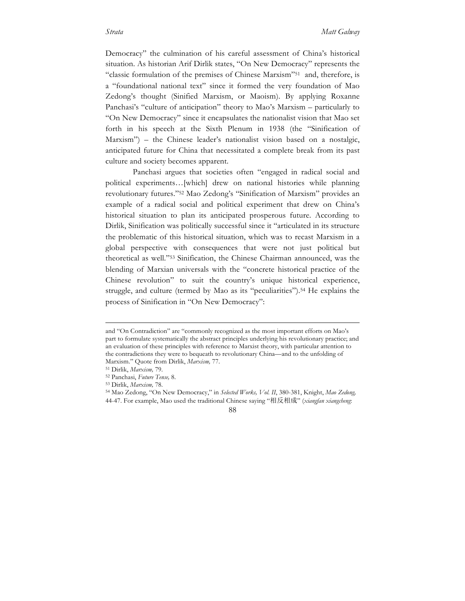Democracy" the culmination of his careful assessment of China's historical situation. As historian Arif Dirlik states, "On New Democracy" represents the "classic formulation of the premises of Chinese Marxism"<sup>51</sup> and, therefore, is a "foundational national text" since it formed the very foundation of Mao Zedong's thought (Sinified Marxism, or Maoism). By applying Roxanne Panchasi's "culture of anticipation" theory to Mao's Marxism – particularly to "On New Democracy" since it encapsulates the nationalist vision that Mao set forth in his speech at the Sixth Plenum in 1938 (the "Sinification of Marxism") – the Chinese leader's nationalist vision based on a nostalgic, anticipated future for China that necessitated a complete break from its past culture and society becomes apparent.

Panchasi argues that societies often "engaged in radical social and political experiments…[which] drew on national histories while planning revolutionary futures."52 Mao Zedong's "Sinification of Marxism" provides an example of a radical social and political experiment that drew on China's historical situation to plan its anticipated prosperous future. According to Dirlik, Sinification was politically successful since it "articulated in its structure the problematic of this historical situation, which was to recast Marxism in a global perspective with consequences that were not just political but theoretical as well."53 Sinification, the Chinese Chairman announced, was the blending of Marxian universals with the "concrete historical practice of the Chinese revolution" to suit the country's unique historical experience, struggle, and culture (termed by Mao as its "peculiarities").<sup>54</sup> He explains the process of Sinification in "On New Democracy":

#### 88

and "On Contradiction" are "commonly recognized as the most important efforts on Mao's part to formulate systematically the abstract principles underlying his revolutionary practice; and an evaluation of these principles with reference to Marxist theory, with particular attention to the contradictions they were to bequeath to revolutionary China—and to the unfolding of Marxism." Quote from Dirlik, *Marxism,* 77.

<sup>51</sup> Dirlik, *Marxism,* 79.

<sup>52</sup> Panchasi, *Future Tense,* 8.

<sup>53</sup> Dirlik, *Marxism,* 78.

<sup>54</sup> Mao Zedong, "On New Democracy," in *Selected Works, Vol. II*, 380-381, Knight, *Mao Zedong,*  44-47. For example, Mao used the traditional Chinese saying "相反相成" (*xiangfan xiangcheng*: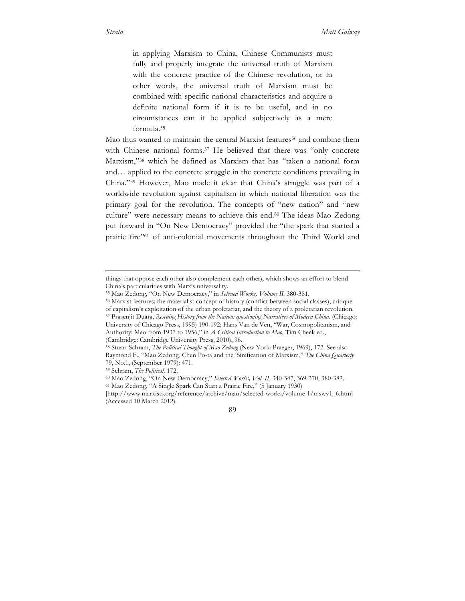in applying Marxism to China, Chinese Communists must fully and properly integrate the universal truth of Marxism with the concrete practice of the Chinese revolution, or in other words, the universal truth of Marxism must be combined with specific national characteristics and acquire a definite national form if it is to be useful, and in no circumstances can it be applied subjectively as a mere formula.55

Mao thus wanted to maintain the central Marxist features<sup>56</sup> and combine them with Chinese national forms.<sup>57</sup> He believed that there was "only concrete Marxism,"58 which he defined as Marxism that has "taken a national form and… applied to the concrete struggle in the concrete conditions prevailing in China."59 However, Mao made it clear that China's struggle was part of a worldwide revolution against capitalism in which national liberation was the primary goal for the revolution. The concepts of "new nation" and "new culture" were necessary means to achieve this end.60 The ideas Mao Zedong put forward in "On New Democracy" provided the "the spark that started a prairie fire"61 of anti-colonial movements throughout the Third World and

(Cambridge: Cambridge University Press, 2010), 96.

<sup>59</sup> Schram, *The Political,* 172.

 $\overline{a}$ 

things that oppose each other also complement each other), which shows an effort to blend China's particularities with Marx's universality.

<sup>55</sup> Mao Zedong, "On New Democracy," in *Selected Works, Volume II.* 380-381.

<sup>56</sup> Marxist features: the materialist concept of history (conflict between social classes), critique

of capitalism's exploitation of the urban proletariat, and the theory of a proletarian revolution. 57 Prasenjit Duara, Rescuing History from the Nation: questioning Narratives of Modern China. (Chicago: University of Chicago Press, 1995) 190-192; Hans Van de Ven, "War, Cosmopolitanism, and Authority: Mao from 1937 to 1956," in *A Critical Introduction to Mao,* Tim Cheek ed.,

<sup>58</sup> Stuart Schram, *The Political Thought of Mao Zedong* (New York: Praeger, 1969), 172. See also Raymond F., "Mao Zedong, Chen Po-ta and the 'Sinification of Marxism," *The China Quarterly* 79, No.1, (September 1979): 471.

<sup>60</sup> Mao Zedong, "On New Democracy," *Selected Works, Vol. II*, 340-347, 369-370, 380-382.

<sup>61</sup> Mao Zedong, "A Single Spark Can Start a Prairie Fire," (5 January 1930)

<sup>[</sup>http://www.marxists.org/reference/archive/mao/selected-works/volume-1/mswv1\_6.htm] (Accessed 10 March 2012).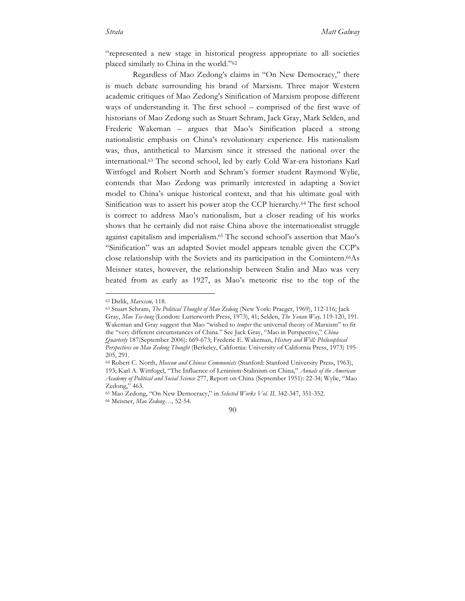"represented a new stage in historical progress appropriate to all societies placed similarly to China in the world."62

Regardless of Mao Zedong's claims in "On New Democracy," there is much debate surrounding his brand of Marxism. Three major Western academic critiques of Mao Zedong's Sinification of Marxism propose different ways of understanding it. The first school – comprised of the first wave of historians of Mao Zedong such as Stuart Schram, Jack Gray, Mark Selden, and Frederic Wakeman – argues that Mao's Sinification placed a strong nationalistic emphasis on China's revolutionary experience. His nationalism was, thus, antithetical to Marxism since it stressed the national over the international.63 The second school, led by early Cold War-era historians Karl Wittfogel and Robert North and Schram's former student Raymond Wylie, contends that Mao Zedong was primarily interested in adapting a Soviet model to China's unique historical context, and that his ultimate goal with Sinification was to assert his power atop the CCP hierarchy.64 The first school is correct to address Mao's nationalism, but a closer reading of his works shows that he certainly did not raise China above the internationalist struggle against capitalism and imperialism.65 The second school's assertion that Mao's "Sinification" was an adapted Soviet model appears tenable given the CCP's close relationship with the Soviets and its participation in the Comintern.<sup>66</sup>As Meisner states, however, the relationship between Stalin and Mao was very heated from as early as 1927, as Mao's meteoric rise to the top of the

<sup>63</sup> Stuart Schram, *The Political Thought of Mao Zedong* (New York: Praeger, 1969), 112-116; Jack Gray, *Mao Tse-tung* (London: Lutterworth Press, 1973), 41; Selden, *The Yenan Way,* 119-120, 191. Wakeman and Gray suggest that Mao "wished to *temper* the universal theory of Marxism" to fit the "very different circumstances of China." See Jack Gray, "Mao in Perspective," *China Quarterly* 187(September 2006): 669-673; Frederic E. Wakeman, *History and Will: Philosophical Perspectives on Mao Zedong Thought* (Berkeley, California: University of California Press, 1973) 195- 205, 291.

 <sup>62</sup> Dirlik, *Marxism,* 118.

<sup>64</sup> Robert C. North, *Moscow and Chinese Communists* (Stanford: Stanford University Press, 1963), 193; Karl A. Wittfogel, "The Influence of Leninism-Stalinism on China," *Annals of the American Academy of Political and Social Science* 277, Report on China (September 1951): 22-34; Wylie, "Mao Zedong," 463.

<sup>65</sup> Mao Zedong, "On New Democracy," in *Selected Works Vol. II,* 342-347, 351-352. 66 Meisner, *Mao Zedong…,* 52-54.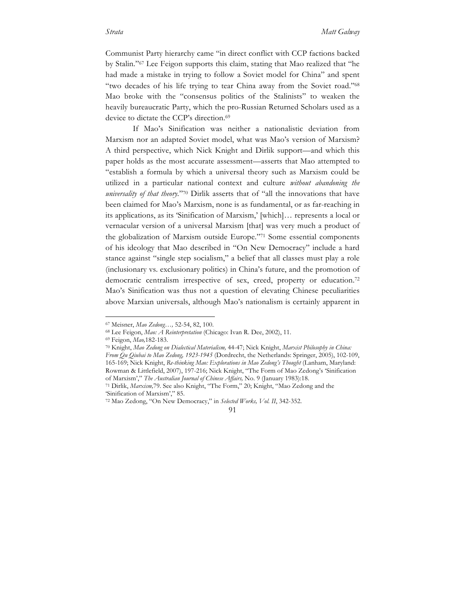Communist Party hierarchy came "in direct conflict with CCP factions backed by Stalin."67 Lee Feigon supports this claim, stating that Mao realized that "he had made a mistake in trying to follow a Soviet model for China" and spent "two decades of his life trying to tear China away from the Soviet road."68 Mao broke with the "consensus politics of the Stalinists" to weaken the heavily bureaucratic Party, which the pro-Russian Returned Scholars used as a device to dictate the CCP's direction.<sup>69</sup>

If Mao's Sinification was neither a nationalistic deviation from Marxism nor an adapted Soviet model, what was Mao's version of Marxism? A third perspective, which Nick Knight and Dirlik support—and which this paper holds as the most accurate assessment—asserts that Mao attempted to "establish a formula by which a universal theory such as Marxism could be utilized in a particular national context and culture *without abandoning the universality of that theory.*"<sup>70</sup> Dirlik asserts that of "all the innovations that have been claimed for Mao's Marxism, none is as fundamental, or as far-reaching in its applications, as its 'Sinification of Marxism,' [which]… represents a local or vernacular version of a universal Marxism [that] was very much a product of the globalization of Marxism outside Europe."71 Some essential components of his ideology that Mao described in "On New Democracy" include a hard stance against "single step socialism," a belief that all classes must play a role (inclusionary vs. exclusionary politics) in China's future, and the promotion of democratic centralism irrespective of sex, creed, property or education.<sup>72</sup> Mao's Sinification was thus not a question of elevating Chinese peculiarities above Marxian universals, although Mao's nationalism is certainly apparent in

 <sup>67</sup> Meisner, *Mao Zedong…,* 52-54, 82, 100.

<sup>68</sup> Lee Feigon, *Mao: A Reinterpretation* (Chicago: Ivan R. Dee, 2002), 11.

<sup>69</sup> Feigon, *Mao,*182-183. 70 Knight, *Mao Zedong on Dialectical Materialism,* 44-47; Nick Knight, *Marxist Philosophy in China: From Qu Qiubai to Mao Zedong, 1923-1945* (Dordrecht, the Netherlands: Springer, 2005), 102-109, 165-169; Nick Knight, *Re-thinking Mao: Explorations in Mao Zedong's Thought* (Lanham, Maryland: Rowman & Littlefield, 2007), 197-216; Nick Knight, "The Form of Mao Zedong's 'Sinification of Marxism'," *The Australian Journal of Chinese Affairs,* No. 9 (January 1983):18.

<sup>71</sup> Dirlik, *Marxism,*79. See also Knight, "The Form," 20; Knight, "Mao Zedong and the 'Sinification of Marxism'," 85.

<sup>72</sup> Mao Zedong, "On New Democracy," in *Selected Works, Vol. II*, 342-352.

<sup>91</sup>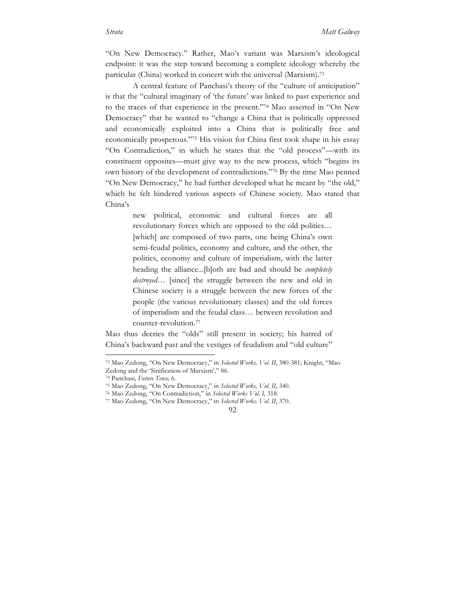"On New Democracy." Rather, Mao's variant was Marxism's ideological endpoint: it was the step toward becoming a complete ideology whereby the particular (China) worked in concert with the universal (Marxism).73

A central feature of Panchasi's theory of the "culture of anticipation" is that the "cultural imaginary of 'the future' was linked to past experience and to the traces of that experience in the present."74 Mao asserted in "On New Democracy" that he wanted to "change a China that is politically oppressed and economically exploited into a China that is politically free and economically prosperous."75 His vision for China first took shape in his essay "On Contradiction," in which he states that the "old process"—with its constituent opposites—must give way to the new process, which "begins its own history of the development of contradictions."76 By the time Mao penned "On New Democracy," he had further developed what he meant by "the old," which he felt hindered various aspects of Chinese society. Mao stated that China's

> new political, economic and cultural forces are all revolutionary forces which are opposed to the old politics… [which] are composed of two parts, one being China's own semi-feudal politics, economy and culture, and the other, the politics, economy and culture of imperialism, with the latter heading the alliance...[b]oth are bad and should be *completely destroyed…* [since] the struggle between the new and old in Chinese society is a struggle between the new forces of the people (the various revolutionary classes) and the old forces of imperialism and the feudal class… between revolution and counter-revolution.77

Mao thus decries the "olds" still present in society; his hatred of China's backward past and the vestiges of feudalism and "old culture"

 <sup>73</sup> Mao Zedong, "On New Democracy," in *Selected Works, Vol. II*, 380-381; Knight, "Mao Zedong and the 'Sinification of Marxism'," 86.

<sup>74</sup> Panchasi, *Future Tense,* 6.

<sup>75</sup> Mao Zedong, "On New Democracy," in *Selected Works, Vol. II*, 340.

<sup>76</sup> Mao Zedong, "On Contradiction," in *Selected Works Vol. I,* 318.

<sup>77</sup> Mao Zedong, "On New Democracy," in *Selected Works, Vol. II*, 370.

<sup>92</sup>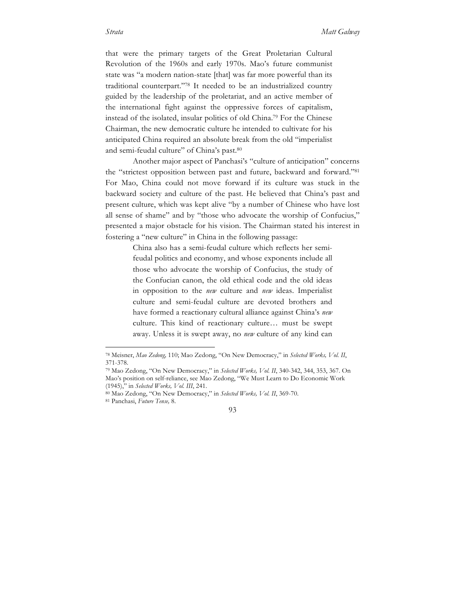that were the primary targets of the Great Proletarian Cultural Revolution of the 1960s and early 1970s. Mao's future communist state was "a modern nation-state [that] was far more powerful than its traditional counterpart."78 It needed to be an industrialized country guided by the leadership of the proletariat, and an active member of the international fight against the oppressive forces of capitalism, instead of the isolated, insular politics of old China.79 For the Chinese Chairman, the new democratic culture he intended to cultivate for his anticipated China required an absolute break from the old "imperialist and semi-feudal culture" of China's past.<sup>80</sup>

Another major aspect of Panchasi's "culture of anticipation" concerns the "strictest opposition between past and future, backward and forward."81 For Mao, China could not move forward if its culture was stuck in the backward society and culture of the past. He believed that China's past and present culture, which was kept alive "by a number of Chinese who have lost all sense of shame" and by "those who advocate the worship of Confucius," presented a major obstacle for his vision. The Chairman stated his interest in fostering a "new culture" in China in the following passage:

> China also has a semi-feudal culture which reflects her semifeudal politics and economy, and whose exponents include all those who advocate the worship of Confucius, the study of the Confucian canon, the old ethical code and the old ideas in opposition to the *new* culture and *new* ideas. Imperialist culture and semi-feudal culture are devoted brothers and have formed a reactionary cultural alliance against China's *new*  culture. This kind of reactionary culture… must be swept away. Unless it is swept away, no *new* culture of any kind can

 <sup>78</sup> Meisner, *Mao Zedong,* 110; Mao Zedong, "On New Democracy," in *Selected Works, Vol. II*, 371-378. 79 Mao Zedong, "On New Democracy," in *Selected Works, Vol. II*, 340-342, 344, 353, 367. On

Mao's position on self-reliance, see Mao Zedong, "We Must Learn to Do Economic Work (1945)," in *Selected Works, Vol. III*, 241.

<sup>80</sup> Mao Zedong, "On New Democracy," in *Selected Works, Vol. II*, 369-70.

<sup>81</sup> Panchasi, *Future Tense,* 8.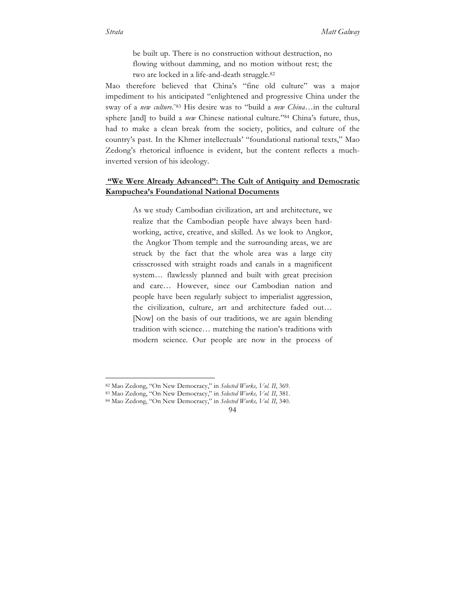be built up. There is no construction without destruction, no flowing without damming, and no motion without rest; the two are locked in a life-and-death struggle.82

Mao therefore believed that China's "fine old culture" was a major impediment to his anticipated "enlightened and progressive China under the sway of a *new culture.*"83 His desire was to "build a *new China…*in the cultural sphere [and] to build a *new* Chinese national culture*.*"84 China's future, thus, had to make a clean break from the society, politics, and culture of the country's past. In the Khmer intellectuals' "foundational national texts," Mao Zedong's rhetorical influence is evident, but the content reflects a muchinverted version of his ideology.

## **"We Were Already Advanced": The Cult of Antiquity and Democratic Kampuchea's Foundational National Documents**

As we study Cambodian civilization, art and architecture, we realize that the Cambodian people have always been hardworking, active, creative, and skilled. As we look to Angkor, the Angkor Thom temple and the surrounding areas, we are struck by the fact that the whole area was a large city crisscrossed with straight roads and canals in a magnificent system… flawlessly planned and built with great precision and care… However, since our Cambodian nation and people have been regularly subject to imperialist aggression, the civilization, culture, art and architecture faded out… [Now] on the basis of our traditions, we are again blending tradition with science… matching the nation's traditions with modern science. Our people are now in the process of

 <sup>82</sup> Mao Zedong, "On New Democracy," in *Selected Works, Vol. II*, 369.

<sup>83</sup> Mao Zedong, "On New Democracy," in *Selected Works, Vol. II*, 381.

<sup>84</sup> Mao Zedong, "On New Democracy," in *Selected Works, Vol. II*, 340.

<sup>94</sup>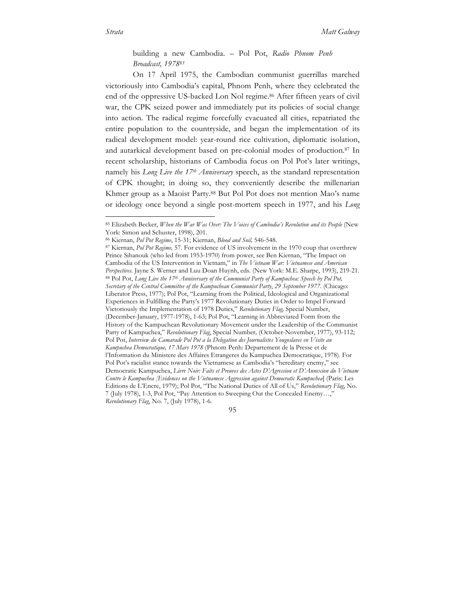building a new Cambodia. – Pol Pot, *Radio Phnom Penh Broadcast, 197885*

On 17 April 1975, the Cambodian communist guerrillas marched victoriously into Cambodia's capital, Phnom Penh, where they celebrated the end of the oppressive US-backed Lon Nol regime.<sup>86</sup> After fifteen years of civil war, the CPK seized power and immediately put its policies of social change into action. The radical regime forcefully evacuated all cities, repatriated the entire population to the countryside, and began the implementation of its radical development model: year-round rice cultivation, diplomatic isolation, and autarkical development based on pre-colonial modes of production.87 In recent scholarship, historians of Cambodia focus on Pol Pot's later writings, namely his *Long Live the 17th Anniversary* speech, as the standard representation of CPK thought; in doing so, they conveniently describe the millenarian Khmer group as a Maoist Party.88 But Pol Pot does not mention Mao's name or ideology once beyond a single post-mortem speech in 1977, and his *Long* 

95

 <sup>85</sup> Elizabeth Becker, *When the War Was Over: The Voices of Cambodia's Revolution and its People* (New York: Simon and Schuster, 1998), 201.

<sup>86</sup> Kiernan, *Pol Pot Regime*, 15-31; Kiernan, *Blood and Soil,* 546-548.

<sup>87</sup> Kiernan, *Pol Pot Regime,* 57. For evidence of US involvement in the 1970 coup that overthrew Prince Sihanouk (who led from 1953-1970) from power, see Ben Kiernan, "The Impact on Cambodia of the US Intervention in Vietnam," in *The Vietnam War: Vietnamese and American Perspectives.* Jayne S. Werner and Luu Doan Huynh, eds. (New York: M.E. Sharpe, 1993), 219-21. <sup>88</sup> Pol Pot, *Long Live the 17th Anniversary of the Communist Party of Kampuchea: Speech by Pol Pot, Secretary of the Central Committee of the Kampuchean Communist Party*, *29 September 1977*. (Chicago: Liberator Press, 1977); Pol Pot, "Learning from the Political, Ideological and Organizational Experiences in Fulfilling the Party's 1977 Revolutionary Duties in Order to Impel Forward Victoriously the Implementation of 1978 Duties," *Revolutionary Flag,* Special Number, (December-January, 1977-1978), 1-63; Pol Pot, "Learning in Abbreviated Form from the History of the Kampuchean Revolutionary Movement under the Leadership of the Communist Party of Kampuchea," *Revolutionary Flag*, Special Number*,* (October-November, 1977), 93-112; Pol Pot, *Interview du Camarade Pol Pot a la Delegation des Journalistes Yougoslaves en Visite au Kampuchea Democratique, 17 Mars 1978* (Phnom Penh: Departement de la Presse et de l'Information du Ministere des Affaires Etrangeres du Kampuchea Democratique, 1978). For Pol Pot's racialist stance towards the Vietnamese as Cambodia's "hereditary enemy," see Democratic Kampuchea, *Livre Noir: Faits et Preuves des Actes D'Agression et D'Annexion du Vietnam Contre le Kampuchea [Evidences on the Vietnamese Aggression against Democratic Kampuchea*] (Paris: Les Editions de L'Encre, 1979); Pol Pot, "The National Duties of All of Us," *Revolutionary Flag*, No. 7 (July 1978), 1-3, Pol Pot, "Pay Attention to Sweeping Out the Concealed Enemy…," *Revolutionary Flag*, No. 7, (July 1978), 1-6.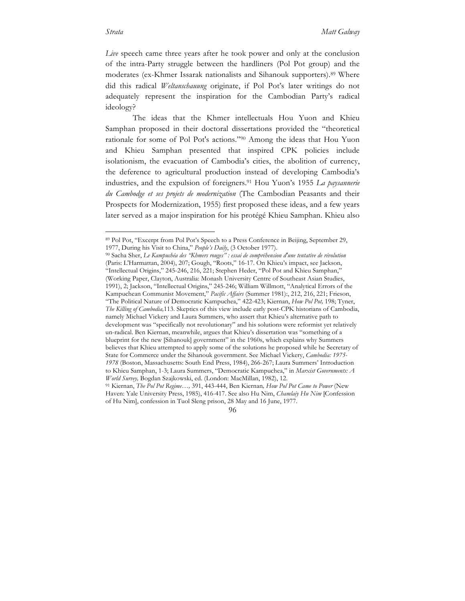*Live* speech came three years after he took power and only at the conclusion of the intra-Party struggle between the hardliners (Pol Pot group) and the moderates (ex-Khmer Issarak nationalists and Sihanouk supporters).89 Where did this radical *Weltanschauung* originate, if Pol Pot's later writings do not adequately represent the inspiration for the Cambodian Party's radical ideology?

The ideas that the Khmer intellectuals Hou Yuon and Khieu Samphan proposed in their doctoral dissertations provided the "theoretical rationale for some of Pol Pot's actions."90 Among the ideas that Hou Yuon and Khieu Samphan presented that inspired CPK policies include isolationism, the evacuation of Cambodia's cities, the abolition of currency, the deference to agricultural production instead of developing Cambodia's industries, and the expulsion of foreigners.91 Hou Yuon's 1955 *La paysannerie du Cambodge et ses projets de modernization* (The Cambodian Peasants and their Prospects for Modernization, 1955) first proposed these ideas, and a few years later served as a major inspiration for his protégé Khieu Samphan. Khieu also

 <sup>89</sup> Pol Pot, "Excerpt from Pol Pot's Speech to a Press Conference in Beijing, September 29, 1977, During his Visit to China," *People's Daily*, (3 October 1977).

<sup>90</sup> Sacha Sher, *Le Kampuchéa des "Khmers rouges" : essai de compréhension d'une tentative de révolution* (Paris: L'Harmattan, 2004), 207; Gough, "Roots," 16-17. On Khieu's impact, see Jackson, "Intellectual Origins," 245-246, 216, 221; Stephen Heder, "Pol Pot and Khieu Samphan," (Working Paper, Clayton, Australia: Monash University Centre of Southeast Asian Studies, 1991), 2; Jackson, "Intellectual Origins," 245-246; William Willmott, "Analytical Errors of the Kampuchean Communist Movement," *Pacific Affairs* (Summer 1981):, 212, 216, 221; Frieson, "The Political Nature of Democratic Kampuchea," 422-423; Kiernan, *How Pol Pot,* 198; Tyner, *The Killing of Cambodia,*113. Skeptics of this view include early post-CPK historians of Cambodia, namely Michael Vickery and Laura Summers, who assert that Khieu's alternative path to development was "specifically not revolutionary" and his solutions were reformist yet relatively un-radical. Ben Kiernan, meanwhile, argues that Khieu's dissertation was "something of a blueprint for the new [Sihanouk] government" in the 1960s, which explains why Summers believes that Khieu attempted to apply some of the solutions he proposed while he Secretary of State for Commerce under the Sihanouk government. See Michael Vickery, *Cambodia: 1975- 1978* (Boston, Massachusetts: South End Press, 1984), 266-267; Laura Summers' Introduction to Khieu Samphan, 1-3; Laura Summers, "Democratic Kampuchea," in *Marxist Governments: A World Survey,* Bogdan Szajkowski, ed. (London: MacMillan, 1982), 12.

<sup>91</sup> Kiernan, *The Pol Pot Regime…,* 391, 443-444, Ben Kiernan*, How Pol Pot Came to Power* (New Haven: Yale University Press, 1985), 416-417. See also Hu Nim, *Chamlaiy Hu Nim* [Confession of Hu Nim], confession in Tuol Sleng prison, 28 May and 16 June, 1977.

<sup>96</sup>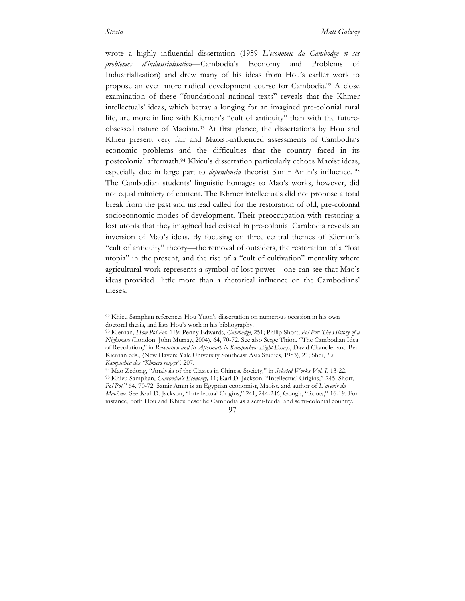wrote a highly influential dissertation (1959 *L'economie du Cambodge et ses problemes d'industrialisation—*Cambodia's Economy and Problems of Industrialization) and drew many of his ideas from Hou's earlier work to propose an even more radical development course for Cambodia.92 A close examination of these "foundational national texts" reveals that the Khmer intellectuals' ideas, which betray a longing for an imagined pre-colonial rural life, are more in line with Kiernan's "cult of antiquity" than with the futureobsessed nature of Maoism.93 At first glance, the dissertations by Hou and Khieu present very fair and Maoist-influenced assessments of Cambodia's economic problems and the difficulties that the country faced in its postcolonial aftermath.94 Khieu's dissertation particularly echoes Maoist ideas, especially due in large part to *dependencia* theorist Samir Amin's influence. <sup>95</sup> The Cambodian students' linguistic homages to Mao's works, however, did not equal mimicry of content. The Khmer intellectuals did not propose a total break from the past and instead called for the restoration of old, pre-colonial socioeconomic modes of development. Their preoccupation with restoring a lost utopia that they imagined had existed in pre-colonial Cambodia reveals an inversion of Mao's ideas. By focusing on three central themes of Kiernan's "cult of antiquity" theory—the removal of outsiders, the restoration of a "lost utopia" in the present, and the rise of a "cult of cultivation" mentality where agricultural work represents a symbol of lost power—one can see that Mao's ideas provided little more than a rhetorical influence on the Cambodians' theses.

 <sup>92</sup> Khieu Samphan references Hou Yuon's dissertation on numerous occasion in his own doctoral thesis, and lists Hou's work in his bibliography.

<sup>93</sup> Kiernan, *How Pol Pot,* 119; Penny Edwards, *Cambodge*, 251; Philip Short, *Pol Pot: The History of a Nightmare* (London: John Murray, 2004), 64, 70-72. See also Serge Thion, "The Cambodian Idea of Revolution," in *Revolution and its Aftermath in Kampuchea: Eight Essays*, David Chandler and Ben Kiernan eds., (New Haven: Yale University Southeast Asia Studies, 1983), 21; Sher, *Le Kampuchéa des "Khmers rouges",* 207.

<sup>94</sup> Mao Zedong, "Analysis of the Classes in Chinese Society," in *Selected Works Vol. I,* 13-22. <sup>95</sup> Khieu Samphan, *Cambodia's Economy,* 11; Karl D. Jackson, "Intellectual Origins," 245; Short, *Pol Pot,*" 64, 70-72. Samir Amin is an Egyptian economist, Maoist, and author of *L'avenir du Maoïsme*. See Karl D. Jackson, "Intellectual Origins," 241, 244-246; Gough, "Roots," 16-19. For instance, both Hou and Khieu describe Cambodia as a semi-feudal and semi-colonial country.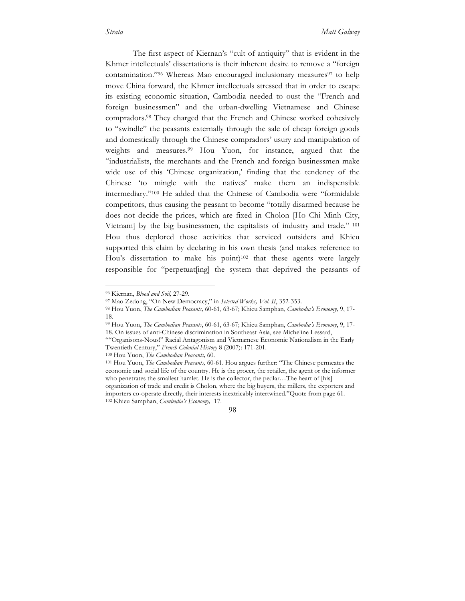The first aspect of Kiernan's "cult of antiquity" that is evident in the Khmer intellectuals' dissertations is their inherent desire to remove a "foreign contamination."<sup>96</sup> Whereas Mao encouraged inclusionary measures<sup>97</sup> to help move China forward, the Khmer intellectuals stressed that in order to escape its existing economic situation, Cambodia needed to oust the "French and foreign businessmen" and the urban-dwelling Vietnamese and Chinese compradors.98 They charged that the French and Chinese worked cohesively to "swindle" the peasants externally through the sale of cheap foreign goods and domestically through the Chinese compradors' usury and manipulation of weights and measures.<sup>99</sup> Hou Yuon, for instance, argued that the "industrialists, the merchants and the French and foreign businessmen make wide use of this 'Chinese organization,' finding that the tendency of the Chinese 'to mingle with the natives' make them an indispensible intermediary."100 He added that the Chinese of Cambodia were "formidable competitors, thus causing the peasant to become "totally disarmed because he does not decide the prices, which are fixed in Cholon [Ho Chi Minh City, Vietnam] by the big businessmen, the capitalists of industry and trade." <sup>101</sup> Hou thus deplored those activities that serviced outsiders and Khieu supported this claim by declaring in his own thesis (and makes reference to Hou's dissertation to make his point)<sup>102</sup> that these agents were largely responsible for "perpetuat[ing] the system that deprived the peasants of

<sup>&</sup>lt;sup>96</sup> Kiernan, *Blood and Soil*, 27-29.<br><sup>97</sup> Mao Zedong, "On New Democracy," in *Selected Works, Vol. II*, 352-353.

<sup>&</sup>lt;sup>98</sup> Hou Yuon, The Cambodian Peasants, 60-61, 63-67; Khieu Samphan, Cambodia's Economy, 9, 17-18.

<sup>99</sup> Hou Yuon, *The Cambodian Peasants*, 60-61, 63-67; Khieu Samphan, *Cambodia's Economy*, 9, 17- 18. On issues of anti-Chinese discrimination in Southeast Asia, see Micheline Lessard,

<sup>&</sup>quot;"Organisons-Nous!" Racial Antagonism and Vietnamese Economic Nationalism in the Early Twentieth Century," *French Colonial History* 8 (2007): 171-201.

<sup>100</sup> Hou Yuon, *The Cambodian Peasants,* 60.

<sup>101</sup> Hou Yuon, *The Cambodian Peasants,* 60-61. Hou argues further: "The Chinese permeates the economic and social life of the country. He is the grocer, the retailer, the agent or the informer who penetrates the smallest hamlet. He is the collector, the pedlar...The heart of [his] organization of trade and credit is Cholon, where the big buyers, the millers, the exporters and importers co-operate directly, their interests inextricably intertwined."Quote from page 61. <sup>102</sup> Khieu Samphan, *Cambodia's Economy,* 17.

<sup>98</sup>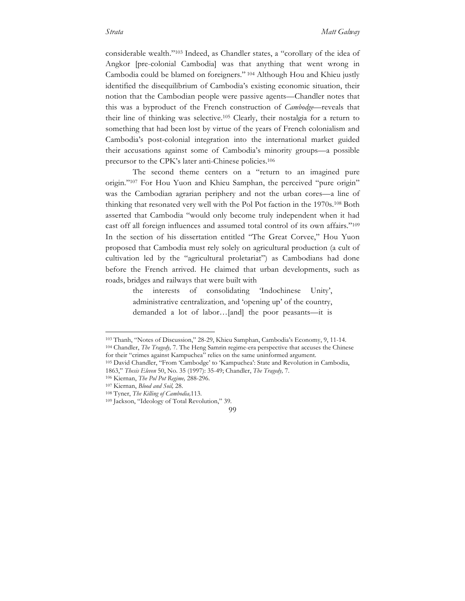considerable wealth."103 Indeed, as Chandler states, a "corollary of the idea of Angkor [pre-colonial Cambodia] was that anything that went wrong in Cambodia could be blamed on foreigners." <sup>104</sup> Although Hou and Khieu justly identified the disequilibrium of Cambodia's existing economic situation, their notion that the Cambodian people were passive agents—Chandler notes that this was a byproduct of the French construction of *Cambodge—*reveals that their line of thinking was selective.105 Clearly, their nostalgia for a return to something that had been lost by virtue of the years of French colonialism and Cambodia's post-colonial integration into the international market guided their accusations against some of Cambodia's minority groups—a possible precursor to the CPK's later anti-Chinese policies.106

The second theme centers on a "return to an imagined pure origin."107 For Hou Yuon and Khieu Samphan, the perceived "pure origin" was the Cambodian agrarian periphery and not the urban cores—a line of thinking that resonated very well with the Pol Pot faction in the 1970s.108 Both asserted that Cambodia "would only become truly independent when it had cast off all foreign influences and assumed total control of its own affairs."109 In the section of his dissertation entitled "The Great Corvee," Hou Yuon proposed that Cambodia must rely solely on agricultural production (a cult of cultivation led by the "agricultural proletariat") as Cambodians had done before the French arrived. He claimed that urban developments, such as roads, bridges and railways that were built with

> the interests of consolidating 'Indochinese Unity', administrative centralization, and 'opening up' of the country, demanded a lot of labor…[and] the poor peasants—it is

 <sup>103</sup> Thanh, "Notes of Discussion," 28-29, Khieu Samphan, Cambodia's Economy, 9, 11-14. <sup>104</sup> Chandler, *The Tragedy,* 7. The Heng Samrin regime-era perspective that accuses the Chinese for their "crimes against Kampuchea" relies on the same uninformed argument.

<sup>105</sup> David Chandler, "From 'Cambodge' to 'Kampuchea': State and Revolution in Cambodia, 1863," *Thesis Eleven* 50, No. 35 (1997): 35-49; Chandler, *The Tragedy,* 7.

<sup>106</sup> Kiernan, *The Pol Pot Regime,* 288-296.

<sup>107</sup> Kiernan, *Blood and Soil,* 28.

<sup>108</sup> Tyner, *The Killing of Cambodia,*113. 109 Jackson, "Ideology of Total Revolution," 39.

<sup>99</sup>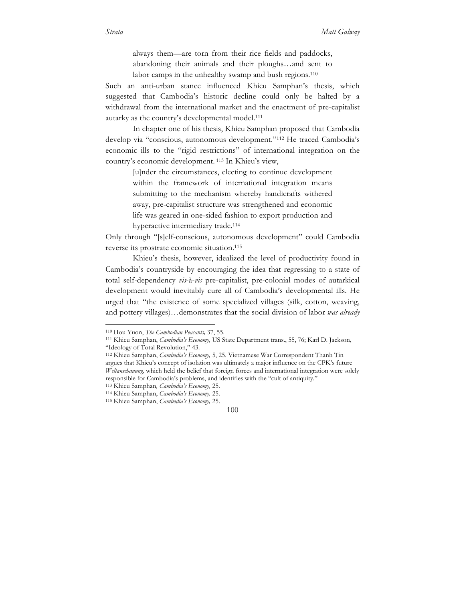always them—are torn from their rice fields and paddocks, abandoning their animals and their ploughs…and sent to labor camps in the unhealthy swamp and bush regions.110

Such an anti-urban stance influenced Khieu Samphan's thesis, which suggested that Cambodia's historic decline could only be halted by a withdrawal from the international market and the enactment of pre-capitalist autarky as the country's developmental model.111

In chapter one of his thesis, Khieu Samphan proposed that Cambodia develop via "conscious, autonomous development."112 He traced Cambodia's economic ills to the "rigid restrictions" of international integration on the country's economic development. <sup>113</sup> In Khieu's view,

> [u]nder the circumstances, electing to continue development within the framework of international integration means submitting to the mechanism whereby handicrafts withered away, pre-capitalist structure was strengthened and economic life was geared in one-sided fashion to export production and hyperactive intermediary trade.114

Only through "[s]elf-conscious, autonomous development" could Cambodia reverse its prostrate economic situation.115

Khieu's thesis, however, idealized the level of productivity found in Cambodia's countryside by encouraging the idea that regressing to a state of total self-dependency *vis*-à-*vis* pre-capitalist, pre-colonial modes of autarkical development would inevitably cure all of Cambodia's developmental ills. He urged that "the existence of some specialized villages (silk, cotton, weaving, and pottery villages)…demonstrates that the social division of labor *was already* 

 <sup>110</sup> Hou Yuon, *The Cambodian Peasants,* 37, 55.

<sup>111</sup> Khieu Samphan, *Cambodia's Economy,* US State Department trans., 55, 76; Karl D. Jackson, "Ideology of Total Revolution," 43.

<sup>112</sup> Khieu Samphan, *Cambodia's Economy,* 5, 25. Vietnamese War Correspondent Thanh Tin argues that Khieu's concept of isolation was ultimately a major influence on the CPK's future *Weltanschauung,* which held the belief that foreign forces and international integration were solely responsible for Cambodia's problems, and identifies with the "cult of antiquity."

<sup>113</sup> Khieu Samphan*, Cambodia's Economy,* 25.

<sup>114</sup> Khieu Samphan, *Cambodia's Economy,* 25.

<sup>115</sup> Khieu Samphan, *Cambodia's Economy,* 25.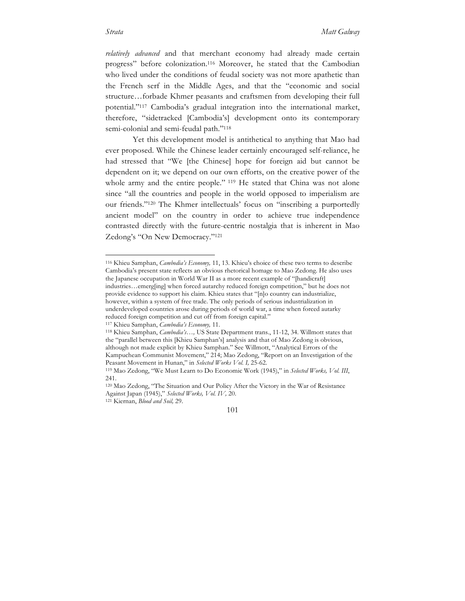*relatively advanced* and that merchant economy had already made certain progress" before colonization.116 Moreover, he stated that the Cambodian who lived under the conditions of feudal society was not more apathetic than the French serf in the Middle Ages, and that the "economic and social structure…forbade Khmer peasants and craftsmen from developing their full potential."117 Cambodia's gradual integration into the international market, therefore, "sidetracked [Cambodia's] development onto its contemporary semi-colonial and semi-feudal path."118

Yet this development model is antithetical to anything that Mao had ever proposed. While the Chinese leader certainly encouraged self-reliance, he had stressed that "We [the Chinese] hope for foreign aid but cannot be dependent on it; we depend on our own efforts, on the creative power of the whole army and the entire people." <sup>119</sup> He stated that China was not alone since "all the countries and people in the world opposed to imperialism are our friends."120 The Khmer intellectuals' focus on "inscribing a purportedly ancient model" on the country in order to achieve true independence contrasted directly with the future-centric nostalgia that is inherent in Mao Zedong's "On New Democracy."121

 <sup>116</sup> Khieu Samphan, *Cambodia's Economy,* 11, 13. Khieu's choice of these two terms to describe Cambodia's present state reflects an obvious rhetorical homage to Mao Zedong. He also uses the Japanese occupation in World War II as a more recent example of "[handicraft] industries…emerg[ing] when forced autarchy reduced foreign competition," but he does not provide evidence to support his claim. Khieu states that "[n]o country can industrialize, however, within a system of free trade. The only periods of serious industrialization in underdeveloped countries arose during periods of world war, a time when forced autarky reduced foreign competition and cut off from foreign capital."

<sup>117</sup> Khieu Samphan, *Cambodia's Economy,* 11.

<sup>118</sup> Khieu Samphan, *Cambodia's…,* US State Department trans., 11-12, 34. Willmott states that the "parallel between this [Khieu Samphan's] analysis and that of Mao Zedong is obvious, although not made explicit by Khieu Samphan." See Willmott, "Analytical Errors of the Kampuchean Communist Movement," 214; Mao Zedong, "Report on an Investigation of the Peasant Movement in Hunan," in *Selected Works Vol. I,* 25-62.

<sup>119</sup> Mao Zedong, "We Must Learn to Do Economic Work (1945)," in *Selected Works, Vol. III*, 241.

<sup>120</sup> Mao Zedong, "The Situation and Our Policy After the Victory in the War of Resistance Against Japan (1945)," *Selected Works, Vol. IV,* 20.

<sup>121</sup> Kiernan, *Blood and Soil,* 29.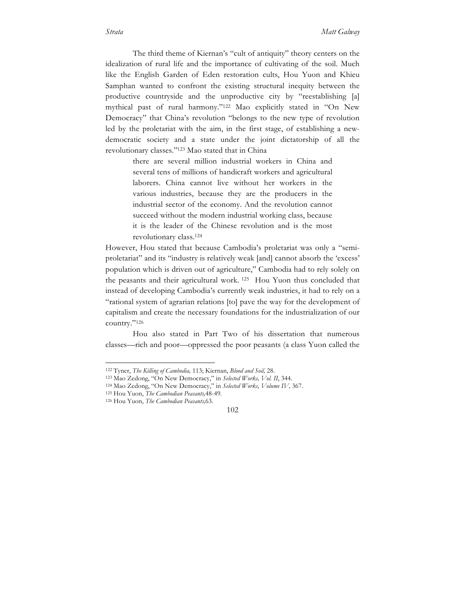The third theme of Kiernan's "cult of antiquity" theory centers on the idealization of rural life and the importance of cultivating of the soil. Much like the English Garden of Eden restoration cults, Hou Yuon and Khieu Samphan wanted to confront the existing structural inequity between the productive countryside and the unproductive city by "reestablishing [a] mythical past of rural harmony."122 Mao explicitly stated in "On New Democracy" that China's revolution "belongs to the new type of revolution led by the proletariat with the aim, in the first stage, of establishing a newdemocratic society and a state under the joint dictatorship of all the revolutionary classes."123 Mao stated that in China

> there are several million industrial workers in China and several tens of millions of handicraft workers and agricultural laborers. China cannot live without her workers in the various industries, because they are the producers in the industrial sector of the economy. And the revolution cannot succeed without the modern industrial working class, because it is the leader of the Chinese revolution and is the most revolutionary class.124

However, Hou stated that because Cambodia's proletariat was only a "semiproletariat" and its "industry is relatively weak [and] cannot absorb the 'excess' population which is driven out of agriculture," Cambodia had to rely solely on the peasants and their agricultural work. 125 Hou Yuon thus concluded that instead of developing Cambodia's currently weak industries, it had to rely on a "rational system of agrarian relations [to] pave the way for the development of capitalism and create the necessary foundations for the industrialization of our country."126

Hou also stated in Part Two of his dissertation that numerous classes—rich and poor—oppressed the poor peasants (a class Yuon called the

 <sup>122</sup> Tyner, *The Killing of Cambodia,* 113; Kiernan, *Blood and Soil,* 28.

<sup>123</sup> Mao Zedong, "On New Democracy," in *Selected Works, Vol. II*, 344.

<sup>124</sup> Mao Zedong, "On New Democracy," in *Selected Works, Volume IV,* 367.

<sup>125</sup> Hou Yuon, *The Cambodian Peasants,*48-49.

<sup>126</sup> Hou Yuon, *The Cambodian Peasants,*63.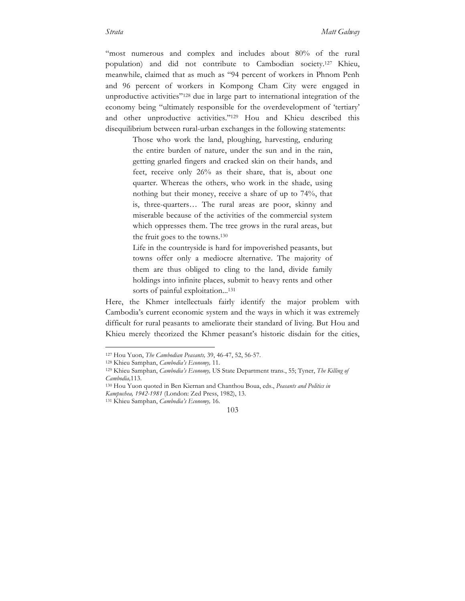"most numerous and complex and includes about 80% of the rural population) and did not contribute to Cambodian society.127 Khieu, meanwhile, claimed that as much as "94 percent of workers in Phnom Penh and 96 percent of workers in Kompong Cham City were engaged in unproductive activities"128 due in large part to international integration of the economy being "ultimately responsible for the overdevelopment of 'tertiary' and other unproductive activities."129 Hou and Khieu described this disequilibrium between rural-urban exchanges in the following statements:

> Those who work the land, ploughing, harvesting, enduring the entire burden of nature, under the sun and in the rain, getting gnarled fingers and cracked skin on their hands, and feet, receive only 26% as their share, that is, about one quarter. Whereas the others, who work in the shade, using nothing but their money, receive a share of up to 74%, that is, three-quarters… The rural areas are poor, skinny and miserable because of the activities of the commercial system which oppresses them. The tree grows in the rural areas, but the fruit goes to the towns.130

> Life in the countryside is hard for impoverished peasants, but towns offer only a mediocre alternative. The majority of them are thus obliged to cling to the land, divide family holdings into infinite places, submit to heavy rents and other sorts of painful exploitation...<sup>131</sup>

Here, the Khmer intellectuals fairly identify the major problem with Cambodia's current economic system and the ways in which it was extremely difficult for rural peasants to ameliorate their standard of living. But Hou and Khieu merely theorized the Khmer peasant's historic disdain for the cities,

 <sup>127</sup> Hou Yuon, *The Cambodian Peasants,* 39, 46-47, 52, 56-57.

<sup>128</sup> Khieu Samphan, *Cambodia's Economy,* 11.

<sup>129</sup> Khieu Samphan, *Cambodia's Economy,* US State Department trans., 55; Tyner, *The Killing of Cambodia,*113.

<sup>130</sup> Hou Yuon quoted in Ben Kiernan and Chanthou Boua, eds., *Peasants and Politics in Kampuchea, 1942-1981* (London: Zed Press, 1982), 13.

<sup>131</sup> Khieu Samphan, *Cambodia's Economy,* 16.

<sup>103</sup>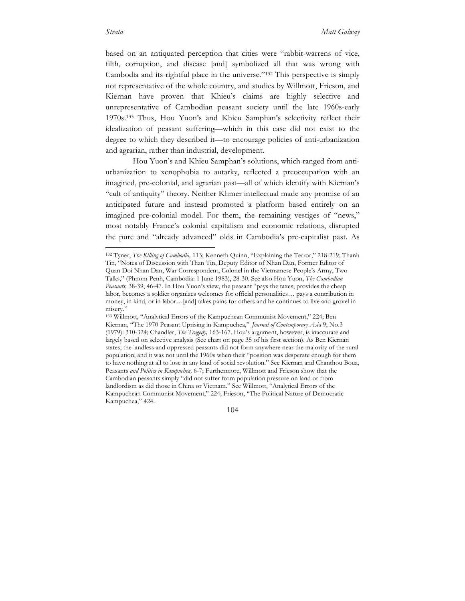based on an antiquated perception that cities were "rabbit-warrens of vice, filth, corruption, and disease [and] symbolized all that was wrong with Cambodia and its rightful place in the universe."132 This perspective is simply not representative of the whole country, and studies by Willmott, Frieson, and Kiernan have proven that Khieu's claims are highly selective and unrepresentative of Cambodian peasant society until the late 1960s-early 1970s.133 Thus, Hou Yuon's and Khieu Samphan's selectivity reflect their idealization of peasant suffering—which in this case did not exist to the degree to which they described it—to encourage policies of anti-urbanization and agrarian, rather than industrial, development.

Hou Yuon's and Khieu Samphan's solutions, which ranged from antiurbanization to xenophobia to autarky, reflected a preoccupation with an imagined, pre-colonial, and agrarian past—all of which identify with Kiernan's "cult of antiquity" theory. Neither Khmer intellectual made any promise of an anticipated future and instead promoted a platform based entirely on an imagined pre-colonial model. For them, the remaining vestiges of "news," most notably France's colonial capitalism and economic relations, disrupted the pure and "already advanced" olds in Cambodia's pre-capitalist past. As

 <sup>132</sup> Tyner, *The Killing of Cambodia,* 113; Kenneth Quinn, "Explaining the Terror," 218-219; Thanh Tin, "Notes of Discussion with Than Tin, Deputy Editor of Nhan Dan, Former Editor of Quan Doi Nhan Dan, War Correspondent, Colonel in the Vietnamese People's Army, Two Talks," (Phnom Penh, Cambodia: 1 June 1983), 28-30. See also Hou Yuon, *The Cambodian Peasants,* 38-39, 46-47. In Hou Yuon's view, the peasant "pays the taxes, provides the cheap labor, becomes a soldier organizes welcomes for official personalities… pays a contribution in money, in kind, or in labor…[and] takes pains for others and he continues to live and grovel in misery."

<sup>133</sup> Willmott, "Analytical Errors of the Kampuchean Communist Movement," 224; Ben Kiernan, "The 1970 Peasant Uprising in Kampuchea," *Journal of Contemporary Asia* 9, No.3 (1979): 310-324; Chandler, *The Tragedy,* 163-167. Hou's argument, however, is inaccurate and largely based on selective analysis (See chart on page 35 of his first section). As Ben Kiernan states, the landless and oppressed peasants did not form anywhere near the majority of the rural population, and it was not until the 1960s when their "position was desperate enough for them to have nothing at all to lose in any kind of social revolution." See Kiernan and Chanthou Boua, Peasants *and Politics in Kampuchea,* 6-7; Furthermore, Willmott and Frieson show that the Cambodian peasants simply "did not suffer from population pressure on land or from landlordism as did those in China or Vietnam." See Willmott, "Analytical Errors of the Kampuchean Communist Movement," 224; Frieson, "The Political Nature of Democratic Kampuchea," 424.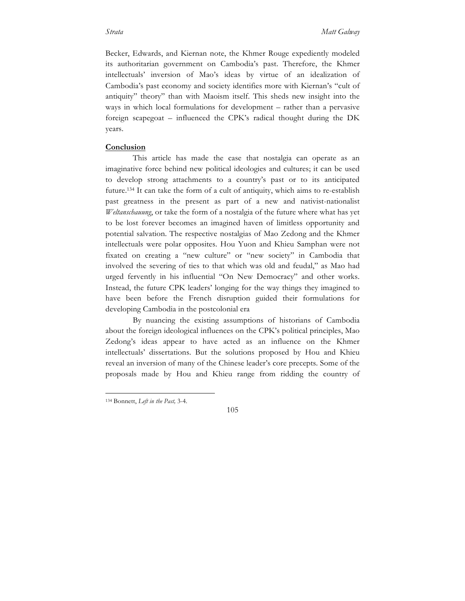Becker, Edwards, and Kiernan note, the Khmer Rouge expediently modeled its authoritarian government on Cambodia's past. Therefore, the Khmer intellectuals' inversion of Mao's ideas by virtue of an idealization of Cambodia's past economy and society identifies more with Kiernan's "cult of antiquity" theory" than with Maoism itself. This sheds new insight into the ways in which local formulations for development – rather than a pervasive foreign scapegoat – influenced the CPK's radical thought during the DK years.

## **Conclusion**

This article has made the case that nostalgia can operate as an imaginative force behind new political ideologies and cultures; it can be used to develop strong attachments to a country's past or to its anticipated future.134 It can take the form of a cult of antiquity, which aims to re-establish past greatness in the present as part of a new and nativist-nationalist *Weltanschauung*, or take the form of a nostalgia of the future where what has yet to be lost forever becomes an imagined haven of limitless opportunity and potential salvation. The respective nostalgias of Mao Zedong and the Khmer intellectuals were polar opposites. Hou Yuon and Khieu Samphan were not fixated on creating a "new culture" or "new society" in Cambodia that involved the severing of ties to that which was old and feudal," as Mao had urged fervently in his influential "On New Democracy" and other works. Instead, the future CPK leaders' longing for the way things they imagined to have been before the French disruption guided their formulations for developing Cambodia in the postcolonial era

By nuancing the existing assumptions of historians of Cambodia about the foreign ideological influences on the CPK's political principles, Mao Zedong's ideas appear to have acted as an influence on the Khmer intellectuals' dissertations. But the solutions proposed by Hou and Khieu reveal an inversion of many of the Chinese leader's core precepts. Some of the proposals made by Hou and Khieu range from ridding the country of

 <sup>134</sup> Bonnett, *Left in the Past,* 3-4.